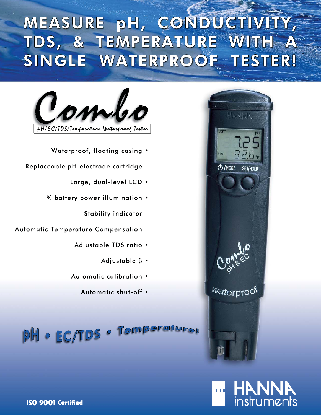## MEASURE pH, CONDUCTIVITY, TDS, & TEMPERATURE WITH SINGLE WATERPROOF TESTER!





Waterproof, floating casing .

Replaceable pH electrode cartridge

- Large, dual-level LCD .
- % battery power illumination .

**Stability indicator** 

**Automatic Temperature Compensation** 

- Adjustable TDS ratio .
	- Adjustable  $\beta$  .
- Automatic calibration .
	- Automatic shut-off .

a Wberg **PH · EC/TDS**